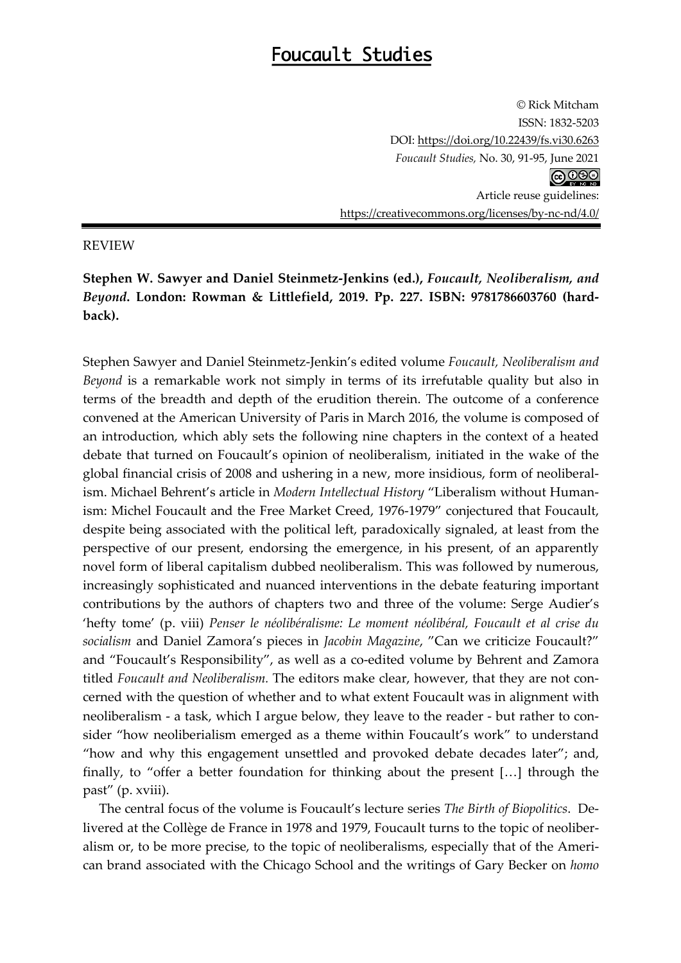## Foucault Studies

© Rick Mitcham ISSN: 1832-5203 DOI: https://doi.org/10.22439/fs.vi30.6263 *Foucault Studies,* No. 30, 91-95, June 2021 **@** 000 Article reuse guidelines: https://creativecommons.org/licenses/by-nc-nd/4.0/

## REVIEW

**Stephen W. Sawyer and Daniel Steinmetz-Jenkins (ed.),** *Foucault, Neoliberalism, and Beyond***. London: Rowman & Littlefield, 2019. Pp. 227. ISBN: 9781786603760 (hardback).**

Stephen Sawyer and Daniel Steinmetz-Jenkin's edited volume *Foucault, Neoliberalism and Beyond* is a remarkable work not simply in terms of its irrefutable quality but also in terms of the breadth and depth of the erudition therein. The outcome of a conference convened at the American University of Paris in March 2016, the volume is composed of an introduction, which ably sets the following nine chapters in the context of a heated debate that turned on Foucault's opinion of neoliberalism, initiated in the wake of the global financial crisis of 2008 and ushering in a new, more insidious, form of neoliberalism. Michael Behrent's article in *Modern Intellectual History* "Liberalism without Humanism: Michel Foucault and the Free Market Creed, 1976-1979" conjectured that Foucault, despite being associated with the political left, paradoxically signaled, at least from the perspective of our present, endorsing the emergence, in his present, of an apparently novel form of liberal capitalism dubbed neoliberalism. This was followed by numerous, increasingly sophisticated and nuanced interventions in the debate featuring important contributions by the authors of chapters two and three of the volume: Serge Audier's 'hefty tome' (p. viii) *Penser le néolibéralisme: Le moment néolibéral, Foucault et al crise du socialism* and Daniel Zamora's pieces in *Jacobin Magazine*, "Can we criticize Foucault?" and "Foucault's Responsibility", as well as a co-edited volume by Behrent and Zamora titled *Foucault and Neoliberalism.* The editors make clear, however, that they are not concerned with the question of whether and to what extent Foucault was in alignment with neoliberalism - a task, which I argue below, they leave to the reader - but rather to consider "how neoliberialism emerged as a theme within Foucault's work" to understand "how and why this engagement unsettled and provoked debate decades later"; and, finally, to "offer a better foundation for thinking about the present […] through the past" (p. xviii).

The central focus of the volume is Foucault's lecture series *The Birth of Biopolitics*. Delivered at the Collège de France in 1978 and 1979, Foucault turns to the topic of neoliberalism or, to be more precise, to the topic of neoliberalisms, especially that of the American brand associated with the Chicago School and the writings of Gary Becker on *homo*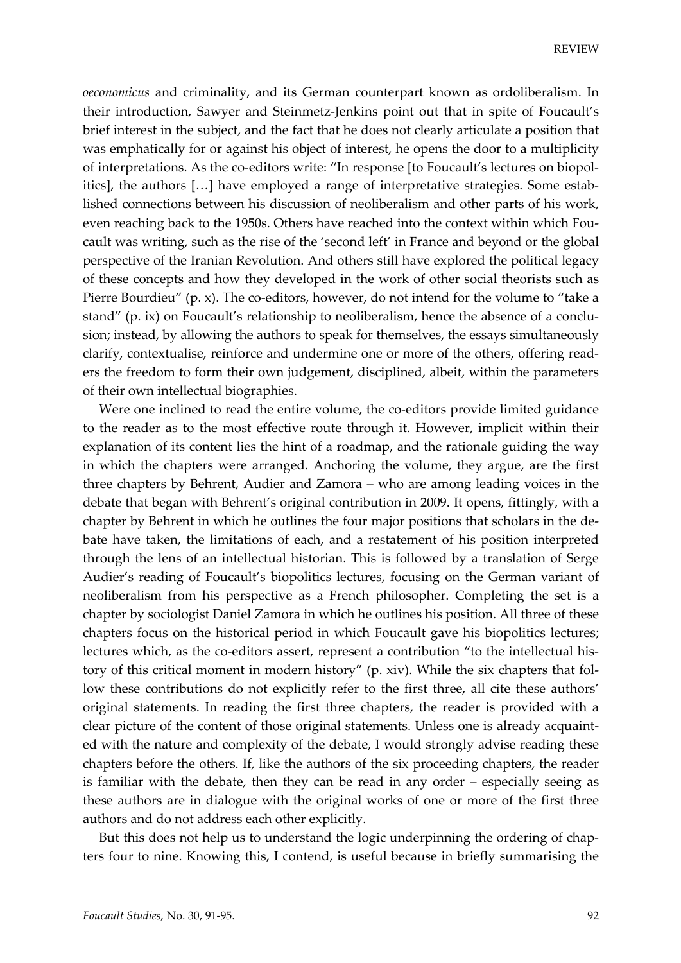*oeconomicus* and criminality, and its German counterpart known as ordoliberalism. In their introduction, Sawyer and Steinmetz-Jenkins point out that in spite of Foucault's brief interest in the subject, and the fact that he does not clearly articulate a position that was emphatically for or against his object of interest, he opens the door to a multiplicity of interpretations. As the co-editors write: "In response [to Foucault's lectures on biopolitics], the authors […] have employed a range of interpretative strategies. Some established connections between his discussion of neoliberalism and other parts of his work, even reaching back to the 1950s. Others have reached into the context within which Foucault was writing, such as the rise of the 'second left' in France and beyond or the global perspective of the Iranian Revolution. And others still have explored the political legacy of these concepts and how they developed in the work of other social theorists such as Pierre Bourdieu" (p. x). The co-editors, however, do not intend for the volume to "take a stand" (p. ix) on Foucault's relationship to neoliberalism, hence the absence of a conclusion; instead, by allowing the authors to speak for themselves, the essays simultaneously clarify, contextualise, reinforce and undermine one or more of the others, offering readers the freedom to form their own judgement, disciplined, albeit, within the parameters of their own intellectual biographies.

Were one inclined to read the entire volume, the co-editors provide limited guidance to the reader as to the most effective route through it. However, implicit within their explanation of its content lies the hint of a roadmap, and the rationale guiding the way in which the chapters were arranged. Anchoring the volume, they argue, are the first three chapters by Behrent, Audier and Zamora – who are among leading voices in the debate that began with Behrent's original contribution in 2009. It opens, fittingly, with a chapter by Behrent in which he outlines the four major positions that scholars in the debate have taken, the limitations of each, and a restatement of his position interpreted through the lens of an intellectual historian. This is followed by a translation of Serge Audier's reading of Foucault's biopolitics lectures, focusing on the German variant of neoliberalism from his perspective as a French philosopher. Completing the set is a chapter by sociologist Daniel Zamora in which he outlines his position. All three of these chapters focus on the historical period in which Foucault gave his biopolitics lectures; lectures which, as the co-editors assert, represent a contribution "to the intellectual history of this critical moment in modern history" (p. xiv). While the six chapters that follow these contributions do not explicitly refer to the first three, all cite these authors' original statements. In reading the first three chapters, the reader is provided with a clear picture of the content of those original statements. Unless one is already acquainted with the nature and complexity of the debate, I would strongly advise reading these chapters before the others. If, like the authors of the six proceeding chapters, the reader is familiar with the debate, then they can be read in any order – especially seeing as these authors are in dialogue with the original works of one or more of the first three authors and do not address each other explicitly.

But this does not help us to understand the logic underpinning the ordering of chapters four to nine. Knowing this, I contend, is useful because in briefly summarising the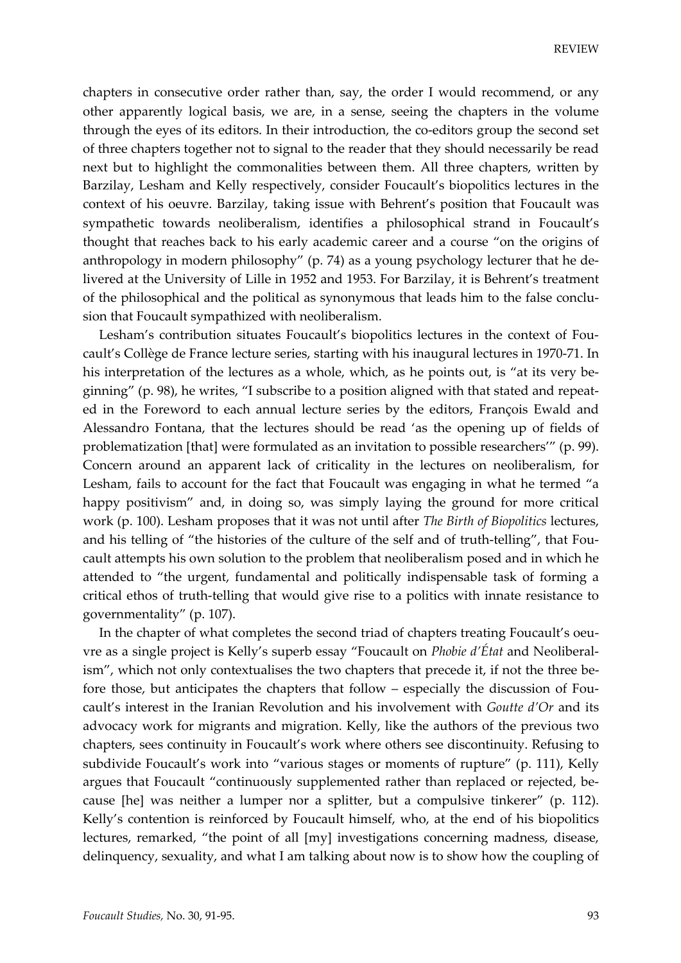chapters in consecutive order rather than, say, the order I would recommend, or any other apparently logical basis, we are, in a sense, seeing the chapters in the volume through the eyes of its editors. In their introduction, the co-editors group the second set of three chapters together not to signal to the reader that they should necessarily be read next but to highlight the commonalities between them. All three chapters, written by Barzilay, Lesham and Kelly respectively, consider Foucault's biopolitics lectures in the context of his oeuvre. Barzilay, taking issue with Behrent's position that Foucault was sympathetic towards neoliberalism, identifies a philosophical strand in Foucault's thought that reaches back to his early academic career and a course "on the origins of anthropology in modern philosophy" (p. 74) as a young psychology lecturer that he delivered at the University of Lille in 1952 and 1953. For Barzilay, it is Behrent's treatment of the philosophical and the political as synonymous that leads him to the false conclusion that Foucault sympathized with neoliberalism.

Lesham's contribution situates Foucault's biopolitics lectures in the context of Foucault's Collège de France lecture series, starting with his inaugural lectures in 1970-71. In his interpretation of the lectures as a whole, which, as he points out, is "at its very beginning" (p. 98), he writes, "I subscribe to a position aligned with that stated and repeated in the Foreword to each annual lecture series by the editors, François Ewald and Alessandro Fontana, that the lectures should be read 'as the opening up of fields of problematization [that] were formulated as an invitation to possible researchers'" (p. 99). Concern around an apparent lack of criticality in the lectures on neoliberalism, for Lesham, fails to account for the fact that Foucault was engaging in what he termed "a happy positivism" and, in doing so, was simply laying the ground for more critical work (p. 100). Lesham proposes that it was not until after *The Birth of Biopolitics* lectures, and his telling of "the histories of the culture of the self and of truth-telling", that Foucault attempts his own solution to the problem that neoliberalism posed and in which he attended to "the urgent, fundamental and politically indispensable task of forming a critical ethos of truth-telling that would give rise to a politics with innate resistance to governmentality" (p. 107).

In the chapter of what completes the second triad of chapters treating Foucault's oeuvre as a single project is Kelly's superb essay "Foucault on *Phobie d'État* and Neoliberalism", which not only contextualises the two chapters that precede it, if not the three before those, but anticipates the chapters that follow – especially the discussion of Foucault's interest in the Iranian Revolution and his involvement with *Goutte d'Or* and its advocacy work for migrants and migration. Kelly, like the authors of the previous two chapters, sees continuity in Foucault's work where others see discontinuity. Refusing to subdivide Foucault's work into "various stages or moments of rupture" (p. 111), Kelly argues that Foucault "continuously supplemented rather than replaced or rejected, because [he] was neither a lumper nor a splitter, but a compulsive tinkerer" (p. 112). Kelly's contention is reinforced by Foucault himself, who, at the end of his biopolitics lectures, remarked, "the point of all [my] investigations concerning madness, disease, delinquency, sexuality, and what I am talking about now is to show how the coupling of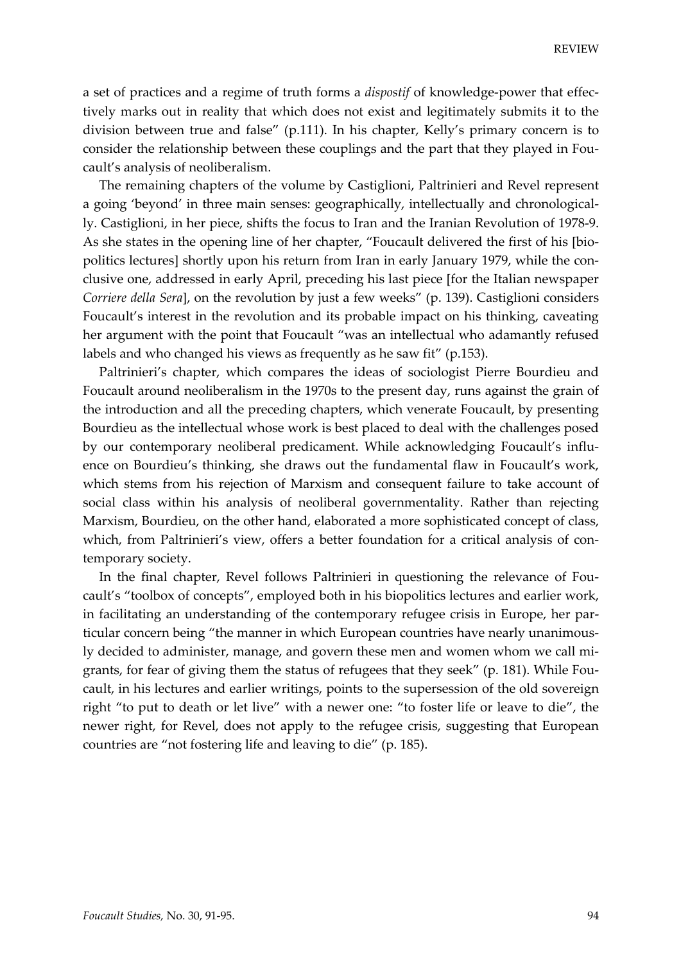a set of practices and a regime of truth forms a *dispostif* of knowledge-power that effectively marks out in reality that which does not exist and legitimately submits it to the division between true and false" (p.111). In his chapter, Kelly's primary concern is to consider the relationship between these couplings and the part that they played in Foucault's analysis of neoliberalism.

The remaining chapters of the volume by Castiglioni, Paltrinieri and Revel represent a going 'beyond' in three main senses: geographically, intellectually and chronologically. Castiglioni, in her piece, shifts the focus to Iran and the Iranian Revolution of 1978-9. As she states in the opening line of her chapter, "Foucault delivered the first of his [biopolitics lectures] shortly upon his return from Iran in early January 1979, while the conclusive one, addressed in early April, preceding his last piece [for the Italian newspaper *Corriere della Sera*], on the revolution by just a few weeks" (p. 139). Castiglioni considers Foucault's interest in the revolution and its probable impact on his thinking, caveating her argument with the point that Foucault "was an intellectual who adamantly refused labels and who changed his views as frequently as he saw fit" (p.153).

Paltrinieri's chapter, which compares the ideas of sociologist Pierre Bourdieu and Foucault around neoliberalism in the 1970s to the present day, runs against the grain of the introduction and all the preceding chapters, which venerate Foucault, by presenting Bourdieu as the intellectual whose work is best placed to deal with the challenges posed by our contemporary neoliberal predicament. While acknowledging Foucault's influence on Bourdieu's thinking, she draws out the fundamental flaw in Foucault's work, which stems from his rejection of Marxism and consequent failure to take account of social class within his analysis of neoliberal governmentality. Rather than rejecting Marxism, Bourdieu, on the other hand, elaborated a more sophisticated concept of class, which, from Paltrinieri's view, offers a better foundation for a critical analysis of contemporary society.

In the final chapter, Revel follows Paltrinieri in questioning the relevance of Foucault's "toolbox of concepts", employed both in his biopolitics lectures and earlier work, in facilitating an understanding of the contemporary refugee crisis in Europe, her particular concern being "the manner in which European countries have nearly unanimously decided to administer, manage, and govern these men and women whom we call migrants, for fear of giving them the status of refugees that they seek" (p. 181). While Foucault, in his lectures and earlier writings, points to the supersession of the old sovereign right "to put to death or let live" with a newer one: "to foster life or leave to die", the newer right, for Revel, does not apply to the refugee crisis, suggesting that European countries are "not fostering life and leaving to die" (p. 185).